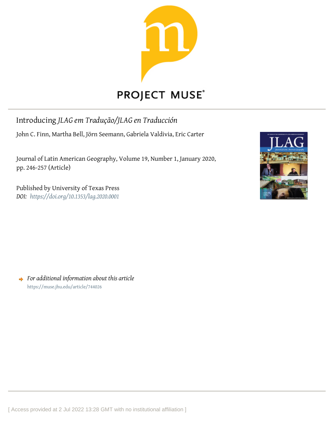

Introducing *JLAG em Tradução/JLAG en Traducción*

John C. Finn, Martha Bell, Jörn Seemann, Gabriela Valdivia, Eric Carter

Journal of Latin American Geography, Volume 19, Number 1, January 2020, pp. 246-257 (Article)

Published by University of Texas Press *DOI: <https://doi.org/10.1353/lag.2020.0001>*



*For additional information about this article* <https://muse.jhu.edu/article/744026>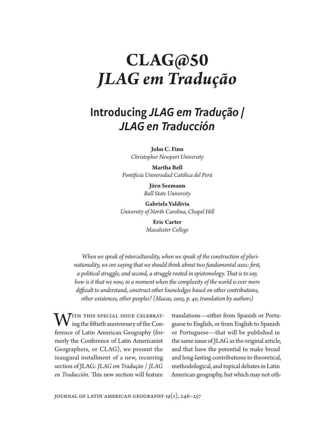# **CLAG@50** *JLAG em Tradução*

### Introducing *JLAG em Tradução* / *JLAG en Traducción*

**John C. Finn** *Christopher Newport University*

**Martha Bell** *Pontifcia Universidad Católica del Perú*

> **Jörn Seemann** *Ball State University*

**Gabriela Valdivia** *University of North Carolina, Chapel Hill*

> **Eric Carter** *Macalester College*

*When we speak of interculturality, when we speak of the construction of plurinationality, we are saying that we should think about two fundamental axes: frst, a political struggle, and second, a struggle rooted in epistemology. Tat is to say, how is it that we now, in a moment when the complexity of the world is ever more difcult to understand, construct other knowledges based on other contributions, other existences, other peoples? (Macas, 2005, p. 40, translation by authors)*

WITH THIS SPECIAL ISSUE CELEBRAT-<br>form to of Letin American Geography (for ference of Latin American Geography (formerly the Conference of Latin Americanist Geographers, or CLAG), we present the inaugural installment of a new, recurring section of JLAG: *JLAG em Tradução* / *JLAG*  en Traducción. This new section will feature

translations—either from Spanish or Portuguese to English, or from English to Spanish or Portuguese—that will be published in the same issue of JLAG as the original article, and that have the potential to make broad and long-lasting contributions to theoretical, methodological, and topical debates in Latin American geography, but which may not oth-

JOURNAL OF LATIN AMERICAN GEOGRAPHY  $19(1)$ , 246-257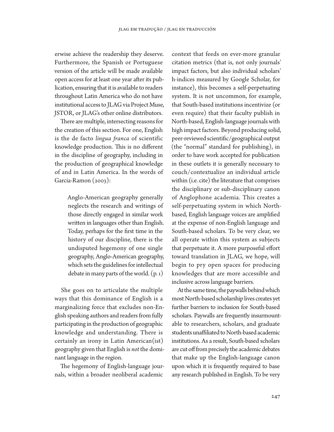erwise achieve the readership they deserve. Furthermore, the Spanish or Portuguese version of the article will be made available open access for at least one year after its publication, ensuring that it is available to readers throughout Latin America who do not have institutional access to JLAG via Project Muse, JSTOR, or JLAG's other online distributors.

There are multiple, intersecting reasons for the creation of this section. For one, English is the de facto *lingua franca* of scientific knowledge production. This is no different in the discipline of geography, including in the production of geographical knowledge of and in Latin America. In the words of Garcia-Ramon (2003):

> Anglo-American geography generally neglects the research and writings of those directly engaged in similar work writen in languages other than English. Today, perhaps for the frst time in the history of our discipline, there is the undisputed hegemony of one single geography, Anglo-American geography, which sets the guidelines for intellectual debate in many parts of the world.  $(p, 1)$

She goes on to articulate the multiple ways that this dominance of English is a marginalizing force that excludes non-English speaking authors and readers from fully participating in the production of geographic knowledge and understanding. There is certainly an irony in Latin American(ist) geography given that English is *not* the dominant language in the region.

The hegemony of English-language journals, within a broader neoliberal academic

context that feeds on ever-more granular citation metrics (that is, not only journals' impact factors, but also individual scholars' h-indices measured by Google Scholar, for instance), this becomes a self-perpetuating system. It is not uncommon, for example, that South-based institutions incentivize (or even require) that their faculty publish in North-based, English-language journals with high impact factors. Beyond producing solid, peer-reviewed scientifc/geographical output (the "normal" standard for publishing), in order to have work accepted for publication in these outlets it is generally necessary to couch/contextualize an individual article within (i.e. cite) the literature that comprises the disciplinary or sub-disciplinary canon of Anglophone academia. This creates a self-perpetuating system in which Northbased, English language voices are amplifed at the expense of non-English language and South-based scholars. To be very clear, we all operate within this system as subjects that perpetuate it. A more purposeful effort toward translation in JLAG, we hope, will begin to pry open spaces for producing knowledges that are more accessible and inclusive across language barriers.

At the same time, the paywalls behind which most North-based scholarship lives creates yet further barriers to inclusion for South-based scholars. Paywalls are frequently insurmountable to researchers, scholars, and graduate students unafliated to North-based academic institutions. As a result, South-based scholars are cut off from precisely the academic debates that make up the English-language canon upon which it is frequently required to base any research published in English. To be very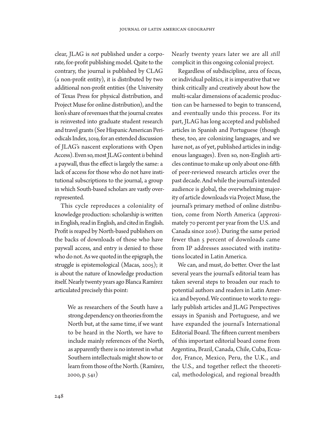clear, JLAG is *not* published under a corporate, for-proft publishing model. Quite to the contrary, the journal is published by CLAG (a non-proft entity), it is distributed by two additional non-proft entities (the University of Texas Press for physical distribution, and Project Muse for online distribution), and the lion's share of revenues that the journal creates is reinvested into graduate student research and travel grants (See Hispanic American Periodicals Index, 2019, for an extended discussion of JLAG's nascent explorations with Open Access). Even so, most JLAG content *is* behind a paywall, thus the efect is largely the same: a lack of access for those who do not have institutional subscriptions to the journal, a group in which South-based scholars are vastly overrepresented.

This cycle reproduces a coloniality of knowledge production: scholarship is writen in English, read in English, and cited in English. Proft is reaped by North-based publishers on the backs of downloads of those who have paywall access, and entry is denied to those who do not. As we quoted in the epigraph, the struggle is epistemological (Macas, 2005); it is about the nature of knowledge production itself. Nearly twenty years ago Blanca Ramírez articulated precisely this point:

> We as researchers of the South have a strong dependency on theories from the North but, at the same time, if we want to be heard in the North, we have to include mainly references of the North, as apparently there is no interest in what Southern intellectuals might show to or learn from those of the North. (Ramírez, 2000, p. 541)

Nearly twenty years later we are all *still*  complicit in this ongoing colonial project.

Regardless of subdiscipline, area of focus, or individual politics, it is imperative that we think critically and creatively about how the multi-scalar dimensions of academic production can be harnessed to begin to transcend, and eventually undo this process. For its part, JLAG has long accepted and published articles in Spanish and Portuguese (though these, too, are colonizing languages, and we have not, as of yet, published articles in indigenous languages). Even so, non-English articles continue to make up only about one-ffh of peer-reviewed research articles over the past decade. And while the journal's intended audience is global, the overwhelming majority of article downloads via Project Muse, the journal's primary method of online distribution, come from North America (approximately 70 percent per year from the U.S. and Canada since 2016). During the same period fewer than 5 percent of downloads came from IP addresses associated with institutions located in Latin America.

We can, and must, do better. Over the last several years the journal's editorial team has taken several steps to broaden our reach to potential authors and readers in Latin America and beyond. We continue to work to regularly publish articles and JLAG Perspectives essays in Spanish and Portuguese, and we have expanded the journal's International Editorial Board. The fifteen current members of this important editorial board come from Argentina, Brazil, Canada, Chile, Cuba, Ecuador, France, Mexico, Peru, the U.K., and the U.S., and together reflect the theoretical, methodological, and regional breadth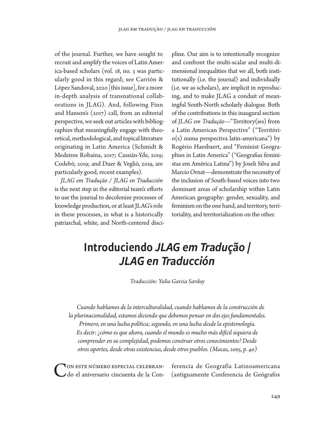of the journal. Further, we have sought to recruit and amplify the voices of Latin America-based scholars (vol. 18, no. 3 was particularly good in this regard; see Carrión & López Sandoval, 2020 [this issue], for a more in-depth analysis of transnational collaborations in JLAG). And, following Finn and Hanson's (2017) call, from an editorial perspective, we seek out articles with bibliographies that meaningfully engage with theoretical, methodological, and topical literature originating in Latin America (Schmidt & Medeiros Robaina, 2017; Cassián-Yde, 2019; Codebò, 2019; and Duer & Vegliò, 2019, are particularly good, recent examples).

*JLAG em Tradução / JLAG en Traducción* is the next step in the editorial team's efforts to use the journal to decolonize processes of knowledge production, or at least JLAG's role in these processes, in what is a historically patriarchal, white, and North-centered discipline. Our aim is to intentionally recognize and confront the multi-scalar and multi-dimensional inequalities that we all, both institutionally (i.e. the journal) and individually (i.e. we as scholars), are implicit in reproducing, and to make JLAG a conduit of meaningful South-North scholarly dialogue. Both of the contributions in this inaugural section of *JLAG em Tradução*—"Territory(ies) from a Latin American Perspective" ("Território(s) numa perspectiva latin-americana") by Rogério Haesbaert, and "Feminist Geographies in Latin America" ("Geografas feministas em América Latina") by Joseli Silva and Marcio Ornat—demonstrate the necessity of the inclusion of South-based voices into two dominant areas of scholarship within Latin American geography: gender, sexuality, and feminism on the one hand, and territory, territoriality, and territorialization on the other.

#### Introduciendo *JLAG em Tradução* / *JLAG en Traducción*

*Traducción: Yulia Garcia Sarduy*

*Cuando hablamos de la interculturalidad, cuando hablamos de la construcción de la plurinacionalidad, estamos diciendo que debemos pensar en dos ejes fundamentales. Primero, en una lucha política; segundo, en una lucha desde la epistemología. Es decir: ¿cómo es que ahora, cuando el mundo es mucho más difícil siquiera de comprender en su complejidad, podemos construir otros conocimientos? Desde otros aportes, desde otras existencias, desde otros pueblos. (Macas, 2005, p. 40)*

ON ESTE NÚMERO ESPECIAL CELEBRANdo el aniversario cincuenta de la Conferencia de Geografía Latinoamericana (antiguamente Conferencia de Geógrafos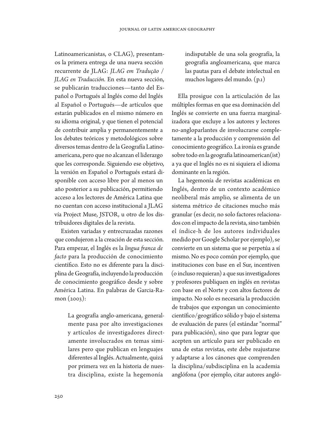Latinoamericanistas, o CLAG), presentamos la primera entrega de una nueva sección recurrente de JLAG: *JLAG em Tradução* / *JLAG en Traducción*. En esta nueva sección, se publicarán traducciones—tanto del Español o Portugués al Inglés como del Inglés al Español o Portugués—de artículos que estarán publicados en el mismo número en su idioma original, y que tienen el potencial de contribuir amplia y permanentemente a los debates teóricos y metodológicos sobre diversos temas dentro de la Geografía Latinoamericana, pero que no alcanzan el liderazgo que les corresponde. Siguiendo ese objetivo, la versión en Español o Portugués estará disponible con acceso libre por al menos un año posterior a su publicación, permitiendo acceso a los lectores de América Latina que no cuentan con acceso institucional a JLAG vía Project Muse, JSTOR, u otro de los distribuidores digitales de la revista.

Existen variadas y entrecruzadas razones que condujeron a la creación de esta sección. Para empezar, el Inglés es la *lingua fanca de facto* para la producción de conocimiento científco. Esto no es diferente para la disciplina de Geografía, incluyendo la producción de conocimiento geográfco desde y sobre América Latina. En palabras de Garcia-Ramon (2003):

> La geografía anglo-americana, generalmente pasa por alto investigaciones y artículos de investigadores directamente involucrados en temas similares pero que publican en lenguajes diferentes al Inglés. Actualmente, quizá por primera vez en la historia de nuestra disciplina, existe la hegemonía

indisputable de una sola geografía, la geografía angloamericana, que marca las pautas para el debate intelectual en muchos lugares del mundo. (p.1)

Ella prosigue con la articulación de las múltiples formas en que esa dominación del Inglés se convierte en una fuerza marginalizadora que excluye a los autores y lectores no-angloparlantes de involucrarse completamente a la producción y comprensión del conocimiento geográfco. La ironía es grande sobre todo en la geografía latinoamerican(ist) a ya que el Inglés no es ni siquiera el idioma dominante en la región.

La hegemonía de revistas académicas en Inglés, dentro de un contexto académico neoliberal más amplio, se alimenta de un sistema métrico de citaciones mucho más granular (es decir, no solo factores relacionados con el impacto de la revista, sino también el índice-h de los autores individuales medido por Google Scholar por ejemplo), se convierte en un sistema que se perpetúa a sí mismo. No es poco común por ejemplo, que instituciones con base en el Sur, incentiven (o incluso requieran) a que sus investigadores y profesores publiquen en inglés en revistas con base en el Norte y con altos factores de impacto. No solo es necesaria la producción de trabajos que expongan un conocimiento científco/geográfco sólido y bajo el sistema de evaluación de pares (el estándar "normal" para publicación), sino que para lograr que acepten un artículo para ser publicado en una de estas revistas, este debe reajustarse y adaptarse a los cánones que comprenden la disciplina/subdisciplina en la academia anglófona (por ejemplo, citar autores angló-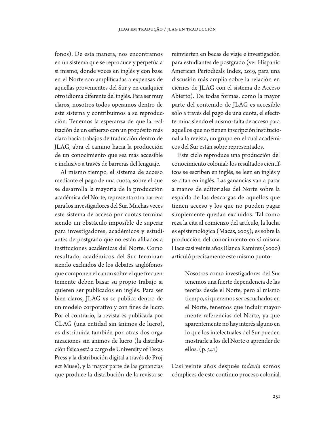fonos). De esta manera, nos encontramos en un sistema que se reproduce y perpetúa a sí mismo, donde voces en inglés y con base en el Norte son amplifcadas a expensas de aquellas provenientes del Sur y en cualquier otro idioma diferente del inglés. Para ser muy claros, nosotros todos operamos dentro de este sistema y contribuimos a su reproducción. Tenemos la esperanza de que la realización de un esfuerzo con un propósito más claro hacia trabajos de traducción dentro de JLAG, abra el camino hacia la producción de un conocimiento que sea más accesible e inclusivo a través de barreras del lenguaje.

Al mismo tiempo, el sistema de acceso mediante el pago de una cuota, sobre el que se desarrolla la mayoría de la producción académica del Norte, representa otra barrera para los investigadores del Sur. Muchas veces este sistema de acceso por cuotas termina siendo un obstáculo imposible de superar para investigadores, académicos y estudiantes de postgrado que no están afliados a instituciones académicas del Norte. Como resultado, académicos del Sur terminan siendo excluidos de los debates anglófonos que componen el canon sobre el que frecuentemente deben basar su propio trabajo si quieren ser publicados en inglés. Para ser bien claros, JLAG *no* se publica dentro de un modelo corporativo y con fnes de lucro. Por el contrario, la revista es publicada por CLAG (una entidad sin ánimos de lucro), es distribuida también por otras dos organizaciones sin ánimos de lucro (la distribución física está a cargo de University of Texas Press y la distribución digital a través de Project Muse), y la mayor parte de las ganancias que produce la distribución de la revista se

reinvierten en becas de viaje e investigación para estudiantes de postgrado (ver Hispanic American Periodicals Index, 2019, para una discusión más amplia sobre la relación en ciernes de JLAG con el sistema de Acceso Abierto). De todas formas, como la mayor parte del contenido de JLAG es accesible sólo a través del pago de una cuota, el efecto termina siendo el mismo: falta de acceso para aquellos que no tienen inscripción institucional a la revista, un grupo en el cual académicos del Sur están sobre representados.

Este ciclo reproduce una producción del conocimiento colonial: los resultados científicos se escriben en inglés, se leen en inglés y se citan en inglés. Las ganancias van a parar a manos de editoriales del Norte sobre la espalda de las descargas de aquellos que tienen acceso y los que no pueden pagar simplemente quedan excluidos. Tal como reza la cita al comienzo del artículo, la lucha es epistemológica (Macas, 2005); es sobre la producción del conocimiento en sí misma. Hace casi veinte años Blanca Ramírez (2000) articuló precisamente este mismo punto:

> Nosotros como investigadores del Sur tenemos una fuerte dependencia de las teorías desde el Norte, pero al mismo tiempo, si queremos ser escuchados en el Norte, tenemos que incluir mayormente referencias del Norte, ya que aparentemente no hay interés alguno en lo que los intelectuales del Sur pueden mostrarle a los del Norte o aprender de ellos. (p. 541)

Casi veinte años después *todavía* somos cómplices de este continuo proceso colonial.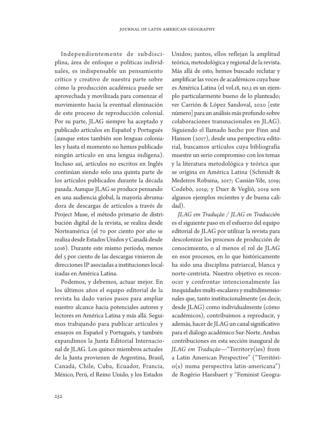Independientemente de subdisciplina, área de enfoque o políticas individuales, es indispensable un pensamiento crítico y creativo de nuestra parte sobre cómo la producción académica puede ser aprovechada y movilizada para comenzar el movimiento hacia la eventual eliminación de este proceso de reproducción colonial. Por su parte, JLAG siempre ha aceptado y publicado artículos en Español y Portugués (aunque estos también son lenguas coloniales y hasta el momento no hemos publicado ningún artículo en una lengua indígena). Incluso así, artículos no escritos en Inglés continúan siendo solo una quinta parte de los artículos publicados durante la década pasada. Aunque JLAG se produce pensando en una audiencia global, la mayoría abrumadora de descargas de artículos a través de Project Muse, el método primario de distribución digital de la revista, se realiza desde Norteamérica (el 70 por ciento por año se realiza desde Estados Unidos y Canadá desde 2016). Durante este mismo período, menos del 5 por ciento de las descargas vinieron de direcciones IP asociadas a instituciones localizadas en América Latina.

Podemos, y debemos, actuar mejor. En los últimos años el equipo editorial de la revista ha dado varios pasos para ampliar nuestro alcance hacia potenciales autores y lectores en América Latina y más allá. Seguimos trabajando para publicar artículos y ensayos en Español y Portugués, y también expandimos la Junta Editorial Internacional de JLAG. Los quince miembros actuales de la Junta provienen de Argentina, Brasil, Canadá, Chile, Cuba, Ecuador, Francia, México, Perú, el Reino Unido, y los Estados

Unidos; juntos, ellos reflejan la amplitud teórica, metodológica y regional de la revista. Más allá de esto, hemos buscado reclutar y amplifcar las voces de académicos cuya base es América Latina (el vol.18, no.3 es un ejemplo particularmente bueno de lo planteado; ver Carrión & López Sandoval, 2020 [este número] para un análisis más profundo sobre colaboraciones transnacionales en JLAG). Siguiendo el llamado hecho por Finn and Hanson (2017), desde una perspectiva editorial, buscamos artículos cuya bibliografía muestre un serio compromiso con los temas y la literatura metodológica y teórica que se origina en América Latina (Schmidt & Medeiros Robaina, 2017; Cassián-Yde, 2019; Codebò, 2019; y Duer & Vegliò, 2019 son algunos ejemplos recientes y de buena calidad).

*JLAG em Tradução / JLAG en Traducción*  es el siguiente paso en el esfuerzo del equipo editorial de JLAG por utilizar la revista para descolonizar los procesos de producción de conocimiento, o al menos el rol de JLAG en esos procesos, en lo que históricamente ha sido una disciplina patriarcal, blanca y norte-centrista. Nuestro objetivo es reconocer y confrontar intencionalmente las inequidades multi-escalares y multidimensionales que, tanto institucionalmente (es decir, desde JLAG) como individualmente (cómo académicos), contribuimos a reproducir, y además, hacer de JLAG un canal signifcativo para el diálogo académico Sur-Norte. Ambas contribuciones en esta sección inaugural de *JLAG em Tradução*—"Territory(ies) from a Latin American Perspective" ("Território(s) numa perspectiva latin-americana") de Rogério Haesbaert y "Feminist Geogra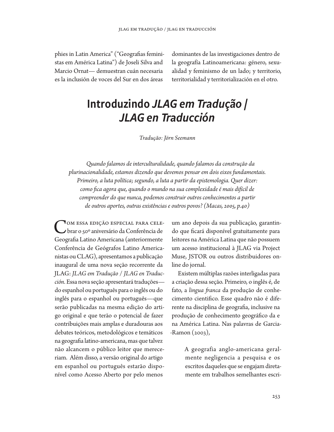phies in Latin America" ("Geografas feministas em América Latina") de Joseli Silva and Marcio Ornat— demuestran cuán necesaria es la inclusión de voces del Sur en dos áreas

dominantes de las investigaciones dentro de la geografía Latinoamericana: género, sexualidad y feminismo de un lado; y territorio, territorialidad y territorialización en el otro.

## Introduzindo *JLAG em Tradução* / *JLAG en Traducción*

*Tradução: Jörn Seemann*

*Quando falamos de interculturalidade, quando falamos da construção da plurinacionalidade, estamos dizendo que devemos pensar em dois eixos fundamentais. Primeiro, a luta política; segundo, a luta a partir da epistemologia. Quer dizer: como fca agora que, quando o mundo na sua complexidade é mais difícil de compreender do que nunca, podemos construir outros conhecimentos a partir de outros aportes, outras existências e outros povos? (Macas, 2005, p.40)*

Com essa edição especial para cele-brar o 50º aniversário da Conferência de Geografa Latino Americana (anteriormente Conferência de Geógrafos Latino Americanistas ou CLAG), apresentamos a publicação inaugural de uma nova seção recorrente da JLAG: *JLAG em Tradução* / *JLAG en Traducción*. Essa nova seção apresentará traduções do espanhol ou português para o inglês ou do inglês para o espanhol ou português—que serão publicadas na mesma edição do artigo original e que terão o potencial de fazer contribuições mais amplas e duradouras aos debates teóricos, metodológicos e temáticos na geografa latino-americana, mas que talvez não alcancem o público leitor que mereceriam. Além disso, a versão original do artigo em espanhol ou português estarão disponível como Acesso Aberto por pelo menos

um ano depois da sua publicação, garantindo que fcará disponível gratuitamente para leitores na América Latina que não possuem um acesso institucional à JLAG via Project Muse, JSTOR ou outros distribuidores online do jornal.

Existem múltiplas razões interligadas para a criação dessa seção. Primeiro, o inglês é, de fato, a *lingua fanca* da produção de conhecimento cientifco. Esse quadro não é diferente na disciplina de geografa, inclusive na produção de conhecimento geográfco da e na América Latina. Nas palavras de Garcia- -Ramon (2003),

> A geografia anglo-americana geralmente negligencia a pesquisa e os escritos daqueles que se engajam diretamente em trabalhos semelhantes escri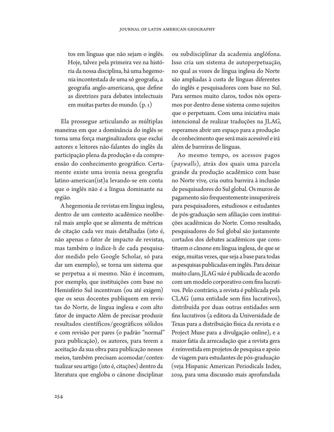tos em línguas que não sejam o inglês. Hoje, talvez pela primeira vez na história da nossa disciplina, há uma hegemonia incontestada de uma só geografa, a geografa anglo-americana, que defne as diretrizes para debates intelectuais em muitas partes do mundo. (p. 1)

Ela prossegue articulando as múltiplas maneiras em que a dominância do inglês se torna uma força marginalizadora que exclui autores e leitores não-falantes do inglês da participação plena da produção e da compreensão do conhecimento geográfco. Certamente existe uma ironia nessa geografia latino-american(ist)a levando-se em conta que o inglês não é a língua dominante na região.

A hegemonia de revistas em língua inglesa, dentro de um contexto acadêmico neoliberal mais amplo que se alimenta de métricas de citação cada vez mais detalhadas (isto é, não apenas o fator de impacto de revistas, mas também o índice-h de cada pesquisador medido pelo Google Scholar, só para dar um exemplo), se torna um sistema que se perpetua a si mesmo. Não é incomum, por exemplo, que instituições com base no Hemisfério Sul incentivam (ou até exigem) que os seus docentes publiquem em revistas do Norte, de língua inglesa e com alto fator de impacto Além de precisar produzir resultados científicos/geográficos sólidos e com revisão por pares (o padrão "normal" para publicação), os autores, para terem a aceitação da sua obra para publicação nesses meios, também precisam acomodar/contextualizar seu artigo (isto é, citações) dentro da literatura que engloba o cânone disciplinar

ou subdisciplinar da academia anglófona. Isso cria um sistema de autoperpetuação, no qual as vozes de língua inglesa do Norte são ampliadas à custa de línguas diferentes do inglês e pesquisadores com base no Sul. Para sermos muito claros, todos nós operamos por dentro desse sistema como sujeitos que o perpetuam. Com uma iniciativa mais intencional de realizar traduções na JLAG, esperamos abrir um espaço para a produção de conhecimento que será mais acessível e irá além de barreiras de línguas.

Ao mesmo tempo, os acessos pagos (*paywalls*), atrás dos quais uma parcela grande da produção acadêmico com base no Norte vive, cria outra barreira à inclusão de pesquisadores do Sul global. Os muros de pagamento são frequentemente insuperáveis para pesquisadores, estudiosos e estudantes de pós-graduação sem afliação com instituições acadêmicas do Norte. Como resultado, pesquisadores do Sul global são justamente cortados dos debates acadêmicos que constituem o cânone em língua inglesa, de que se exige, muitas vezes, que seja a base para todas as pesquisas publicadas em inglês. Para deixar muito claro, JLAG *não* é publicada de acordo com um modelo corporativo com fns lucrativos. Pelo contrário, a revista é publicada pela CLAG (uma entidade sem fns lucrativos), distribuída por duas outras entidades sem fns lucrativos (a editora da Universidade de Texas para a distribuição física da revista e o Project Muse para a divulgação online), e a maior fatia da arrecadação que a revista gera é reinvestida em projetos de pesquisa e apoio de viagem para estudantes de pós-graduação (veja Hispanic American Periodicals Index, 2019, para uma discussão mais aprofundada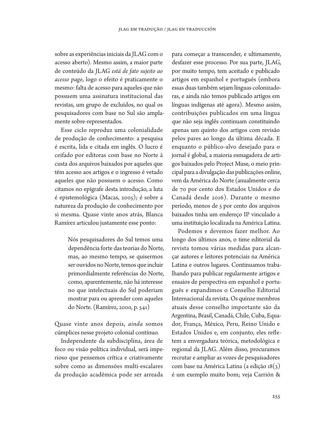sobre as experiências iniciais da JLAG com o acesso aberto). Mesmo assim, a maior parte de conteúdo da JLAG *está de fato sujeito ao acesso pago*, logo o efeito é praticamente o mesmo: falta de acesso para aqueles que não possuem uma assinatura institucional das revistas, um grupo de excluídos, no qual os pesquisadores com base no Sul são amplamente sobre-representados.

Esse ciclo reproduz uma colonialidade de produção de conhecimento: a pesquisa é escrita, lida e citada em inglês. O lucro é ceifado por editoras com base no Norte à custa dos arquivos baixados por aqueles que têm acesso aos artigos e o ingresso é vetado aqueles que não possuem o acesso. Como citamos no epígrafe desta introdução, a luta é epistemológica (Macas, 2005); é sobre a natureza da produção de conhecimento por si mesma. Quase vinte anos atrás, Blanca Ramírez articulou justamente esse ponto:

> Nós pesquisadores do Sul temos uma dependência forte das teorias do Norte, mas, ao mesmo tempo, se quisermos ser ouvidos no Norte, temos que incluir primordialmente referências do Norte, como, aparentemente, não há interesse no que intelectuais do Sul poderiam mostrar para ou aprender com aqueles do Norte. (Ramírez, 2000, p. 541)

Quase vinte anos depois, *ainda* somos cúmplices nesse projeto colonial contínuo.

Independente da subdisciplina, área de foco ou visão política individual, será imperioso que pensemos crítica e criativamente sobre como as dimensões multi-escalares da produção acadêmica pode ser arreada

para começar a transcender, e ultimamente, desfazer esse processo. Por sua parte, JLAG, por muito tempo, tem aceitado e publicado artigos em espanhol e português (embora essas duas também sejam línguas colonizadoras, e ainda não temos publicado artigos em línguas indígenas até agora). Mesmo assim, contribuições publicados em uma língua que não seja inglês continuam constituindo apenas um quinto dos artigos com revisão pelos pares ao longo da última década. E enquanto o público-alvo desejado para o jornal é global, a maioria esmagadora de artigos baixados pelo Project Muse, o meio principal para a divulgação das publicações online, vem da América do Norte (anualmente cerca de 70 por cento dos Estados Unidos e do Canadá desde 2016). Durante o mesmo período, menos de 5 por cento dos arquivos baixados tinha um endereço IP vinculado a uma instituição localizada na América Latina.

Podemos e devemos fazer melhor. Ao longo dos últimos anos, o time editorial da revista tomou várias medidas para alcançar autores e leitores potenciais na América Latina e outros lugares. Continuamos trabalhando para publicar regularmente artigos e ensaios de perspectiva em espanhol e português e expandimos o Conselho Editorial Internacional da revista. Os quinze membros atuais desse conselho importante são da Argentina, Brasil, Canadá, Chile, Cuba, Equador, França, México, Peru, Reino Unido e Estados Unidos e, em conjunto, eles refletem a envergadura teórica, metodológica e regional da JLAG. Além disso, procuramos recrutar e ampliar as vozes de pesquisadores com base na América Latina (a edição 18(3) é um exemplo muito bom; veja Carrión &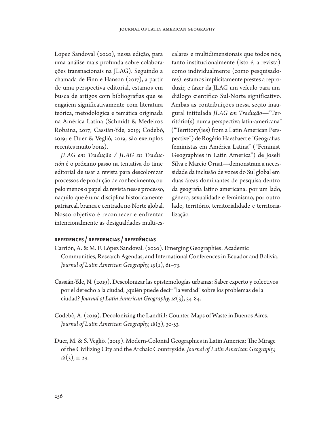Lopez Sandoval (2020), nessa edição, para uma análise mais profunda sobre colaborações transnacionais na JLAG). Seguindo a chamada de Finn e Hanson (2017), a partir de uma perspectiva editorial, estamos em busca de artigos com bibliografias que se engajem significativamente com literatura teórica, metodológica e temática originada na América Latina (Schmidt & Medeiros Robaina, 2017; Cassián-Yde, 2019; Codebò, 2019; e Duer & Vegliò, 2019, são exemplos recentes muito bons).

*JLAG em Tradução / JLAG en Traducción* é o próximo passo na tentativa do time editorial de usar a revista para descolonizar processos de produção de conhecimento, ou pelo menos o papel da revista nesse processo, naquilo que é uma disciplina historicamente patriarcal, branca e centrada no Norte global. Nosso objetivo é reconhecer e enfrentar intencionalmente as desigualdades multi-escalares e multidimensionais que todos nós, tanto institucionalmente (isto é, a revista) como individualmente (como pesquisadores), estamos implicitamente prestes a reproduzir, e fazer da JLAG um veículo para um diálogo cientifico Sul-Norte significativo. Ambas as contribuições nessa seção inaugural intitulada *JLAG em Tradução*—"Território(s) numa perspectiva latin-americana" ("Territory(ies) from a Latin American Perspective") de Rogério Haesbaert e "Geografas feministas em América Latina" ("Feminist Geographies in Latin America") de Joseli Silva e Marcio Ornat—demonstram a necessidade da inclusão de vozes do Sul global em duas áreas dominantes de pesquisa dentro da geografa latino americana: por um lado, gênero, sexualidade e feminismo, por outro lado, território, territorialidade e territorialização.

#### references / referencias / referências

- Carrión, A. & M. F. López Sandoval. (2020). Emerging Geographies: Academic Communities, Research Agendas, and International Conferences in Ecuador and Bolivia. *Journal of Latin American Geography, 19*(1), 61–73.
- Cassián-Yde, N. (2019). Descolonizar las epistemologías urbanas: Saber experto y colectivos por el derecho a la ciudad, ¿quién puede decir "la verdad" sobre los problemas de la ciudad? *Journal of Latin American Geography, 18*(3), 54-84.
- Codebò, A. (2019). Decolonizing the Landfll: Counter-Maps of Waste in Buenos Aires. *Journal of Latin American Geography, 18*(3), 30-53.
- Duer, M. & S. Vegliò. (2019). Modern-Colonial Geographies in Latin America: The Mirage of the Civilizing City and the Archaic Countryside. *Journal of Latin American Geography, 18*(3), 11-29.